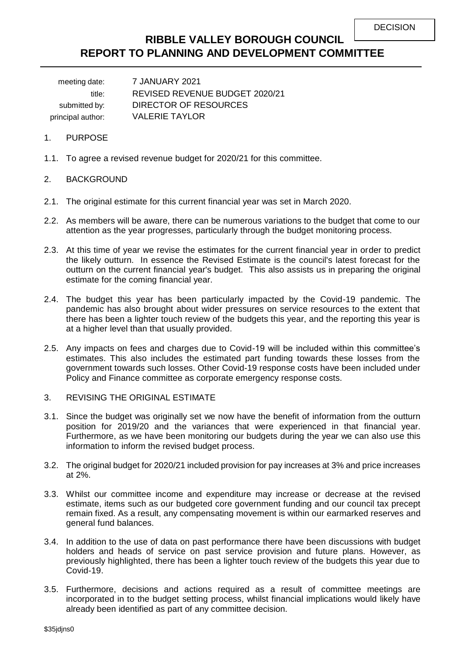# **RIBBLE VALLEY BOROUGH COUNCIL REPORT TO PLANNING AND DEVELOPMENT COMMITTEE**

meeting date: 7 JANUARY 2021 title: REVISED REVENUE BUDGET 2020/21 submitted by: DIRECTOR OF RESOURCES principal author: VALERIE TAYLOR

#### 1. PURPOSE

1.1. To agree a revised revenue budget for 2020/21 for this committee.

#### 2. BACKGROUND

- 2.1. The original estimate for this current financial year was set in March 2020.
- 2.2. As members will be aware, there can be numerous variations to the budget that come to our attention as the year progresses, particularly through the budget monitoring process.
- 2.3. At this time of year we revise the estimates for the current financial year in order to predict the likely outturn. In essence the Revised Estimate is the council's latest forecast for the outturn on the current financial year's budget. This also assists us in preparing the original estimate for the coming financial year.
- 2.4. The budget this year has been particularly impacted by the Covid-19 pandemic. The pandemic has also brought about wider pressures on service resources to the extent that there has been a lighter touch review of the budgets this year, and the reporting this year is at a higher level than that usually provided.
- 2.5. Any impacts on fees and charges due to Covid-19 will be included within this committee's estimates. This also includes the estimated part funding towards these losses from the government towards such losses. Other Covid-19 response costs have been included under Policy and Finance committee as corporate emergency response costs.
- 3. REVISING THE ORIGINAL ESTIMATE
- 3.1. Since the budget was originally set we now have the benefit of information from the outturn position for 2019/20 and the variances that were experienced in that financial year. Furthermore, as we have been monitoring our budgets during the year we can also use this information to inform the revised budget process.
- 3.2. The original budget for 2020/21 included provision for pay increases at 3% and price increases at 2%.
- 3.3. Whilst our committee income and expenditure may increase or decrease at the revised estimate, items such as our budgeted core government funding and our council tax precept remain fixed. As a result, any compensating movement is within our earmarked reserves and general fund balances.
- 3.4. In addition to the use of data on past performance there have been discussions with budget holders and heads of service on past service provision and future plans. However, as previously highlighted, there has been a lighter touch review of the budgets this year due to Covid-19.
- 3.5. Furthermore, decisions and actions required as a result of committee meetings are incorporated in to the budget setting process, whilst financial implications would likely have already been identified as part of any committee decision.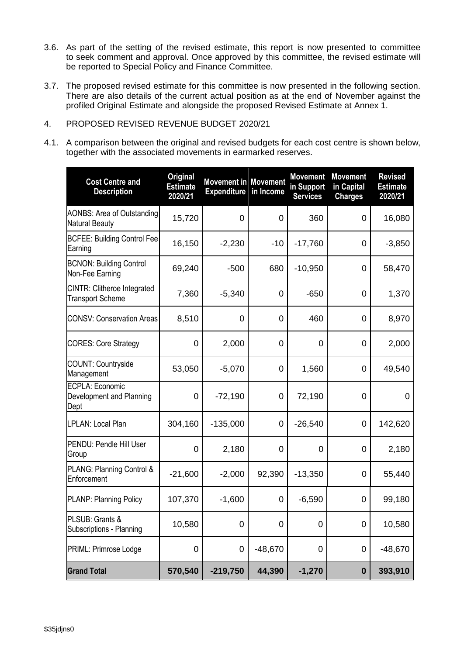- 3.6. As part of the setting of the revised estimate, this report is now presented to committee to seek comment and approval. Once approved by this committee, the revised estimate will be reported to Special Policy and Finance Committee.
- 3.7. The proposed revised estimate for this committee is now presented in the following section. There are also details of the current actual position as at the end of November against the profiled Original Estimate and alongside the proposed Revised Estimate at Annex 1.
- 4. PROPOSED REVISED REVENUE BUDGET 2020/21
- 4.1. A comparison between the original and revised budgets for each cost centre is shown below, together with the associated movements in earmarked reserves.

| <b>Cost Centre and</b><br><b>Description</b>               | <b>Original</b><br><b>Estimate</b><br>2020/21 | <b>Movement in Movement</b><br><b>Expenditure</b> | in Income | <b>Movement</b><br>in Support<br><b>Services</b> | <b>Movement</b><br>in Capital<br><b>Charges</b> | <b>Revised</b><br><b>Estimate</b><br>2020/21 |
|------------------------------------------------------------|-----------------------------------------------|---------------------------------------------------|-----------|--------------------------------------------------|-------------------------------------------------|----------------------------------------------|
| <b>AONBS: Area of Outstanding</b><br><b>Natural Beauty</b> | 15,720                                        | 0                                                 | 0         | 360                                              | 0                                               | 16,080                                       |
| <b>BCFEE: Building Control Fee</b><br>Earning              | 16,150                                        | $-2,230$                                          | $-10$     | $-17,760$                                        | 0                                               | $-3,850$                                     |
| <b>BCNON: Building Control</b><br>Non-Fee Earning          | 69,240                                        | $-500$                                            | 680       | $-10,950$                                        | 0                                               | 58,470                                       |
| CINTR: Clitheroe Integrated<br><b>Transport Scheme</b>     | 7,360                                         | $-5,340$                                          | 0         | $-650$                                           | 0                                               | 1,370                                        |
| <b>CONSV: Conservation Areas</b>                           | 8,510                                         | 0                                                 | 0         | 460                                              | 0                                               | 8,970                                        |
| <b>CORES: Core Strategy</b>                                | 0                                             | 2,000                                             | 0         | 0                                                | 0                                               | 2,000                                        |
| COUNT: Countryside<br>Management                           | 53,050                                        | $-5,070$                                          | 0         | 1,560                                            | 0                                               | 49,540                                       |
| ECPLA: Economic<br>Development and Planning<br>Dept        | 0                                             | $-72,190$                                         | 0         | 72,190                                           | 0                                               | 0                                            |
| LPLAN: Local Plan                                          | 304,160                                       | $-135,000$                                        | 0         | $-26,540$                                        | 0                                               | 142,620                                      |
| <b>PENDU: Pendle Hill User</b><br>Group                    | 0                                             | 2,180                                             | 0         | 0                                                | 0                                               | 2,180                                        |
| PLANG: Planning Control &<br>Enforcement                   | $-21,600$                                     | $-2,000$                                          | 92,390    | $-13,350$                                        | 0                                               | 55,440                                       |
| PLANP: Planning Policy                                     | 107,370                                       | $-1,600$                                          | 0         | $-6,590$                                         | 0                                               | 99,180                                       |
| PLSUB: Grants &<br>Subscriptions - Planning                | 10,580                                        | $\overline{0}$                                    | 0         | 0                                                | $\mathbf 0$                                     | 10,580                                       |
| PRIML: Primrose Lodge                                      | $\mathbf 0$                                   | $\mathbf 0$                                       | $-48,670$ | 0                                                | $\pmb{0}$                                       | $-48,670$                                    |
| <b>Grand Total</b>                                         | 570,540                                       | $-219,750$                                        | 44,390    | $-1,270$                                         | $\boldsymbol{0}$                                | 393,910                                      |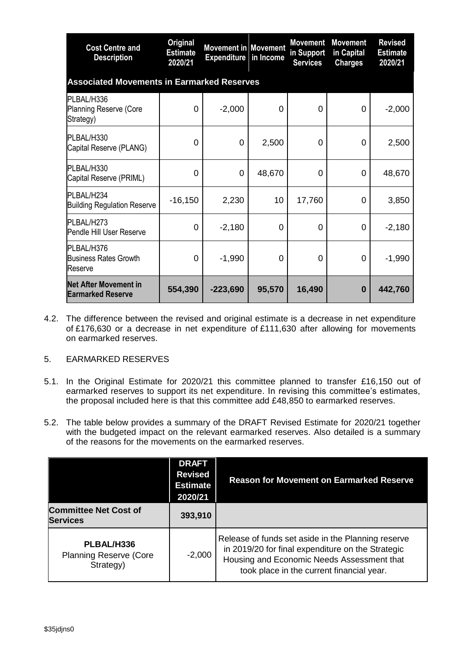| <b>Cost Centre and</b><br><b>Description</b>             | <b>Original</b><br><b>Estimate</b><br>2020/21 | <b>Movement in Movement</b><br><b>Expenditure in Income</b> |        | <b>Movement</b><br>in Support<br><b>Services</b> | <b>Movement</b><br>in Capital<br><b>Charges</b> | <b>Revised</b><br><b>Estimate</b><br>2020/21 |  |  |
|----------------------------------------------------------|-----------------------------------------------|-------------------------------------------------------------|--------|--------------------------------------------------|-------------------------------------------------|----------------------------------------------|--|--|
| <b>Associated Movements in Earmarked Reserves</b>        |                                               |                                                             |        |                                                  |                                                 |                                              |  |  |
| PLBAL/H336<br>Planning Reserve (Core<br>Strategy)        | 0                                             | $-2,000$                                                    | 0      | $\Omega$                                         | 0                                               | $-2,000$                                     |  |  |
| PLBAL/H330<br>Capital Reserve (PLANG)                    | 0                                             | 0                                                           | 2,500  | 0                                                | 0                                               | 2,500                                        |  |  |
| PLBAL/H330<br>Capital Reserve (PRIML)                    | 0                                             | 0                                                           | 48,670 | 0                                                | 0                                               | 48,670                                       |  |  |
| PLBAL/H234<br><b>Building Regulation Reserve</b>         | $-16,150$                                     | 2,230                                                       | 10     | 17,760                                           | 0                                               | 3,850                                        |  |  |
| PLBAL/H273<br>Pendle Hill User Reserve                   | 0                                             | $-2,180$                                                    | 0      | 0                                                | 0                                               | $-2,180$                                     |  |  |
| PLBAL/H376<br><b>Business Rates Growth</b><br>Reserve    | 0                                             | $-1,990$                                                    | 0      | 0                                                | 0                                               | $-1,990$                                     |  |  |
| <b>Net After Movement in</b><br><b>Earmarked Reserve</b> | 554,390                                       | $-223,690$                                                  | 95,570 | 16,490                                           | $\bf{0}$                                        | 442,760                                      |  |  |

4.2. The difference between the revised and original estimate is a decrease in net expenditure of £176,630 or a decrease in net expenditure of £111,630 after allowing for movements on earmarked reserves.

#### 5. EARMARKED RESERVES

- 5.1. In the Original Estimate for 2020/21 this committee planned to transfer £16,150 out of earmarked reserves to support its net expenditure. In revising this committee's estimates, the proposal included here is that this committee add £48,850 to earmarked reserves.
- 5.2. The table below provides a summary of the DRAFT Revised Estimate for 2020/21 together with the budgeted impact on the relevant earmarked reserves. Also detailed is a summary of the reasons for the movements on the earmarked reserves.

|                                                          | <b>DRAFT</b><br><b>Revised</b><br><b>Estimate</b><br>2020/21 | <b>Reason for Movement on Earmarked Reserve</b>                                                                                                                                                    |  |  |
|----------------------------------------------------------|--------------------------------------------------------------|----------------------------------------------------------------------------------------------------------------------------------------------------------------------------------------------------|--|--|
| <b>Committee Net Cost of</b><br><b>Services</b>          | 393,910                                                      |                                                                                                                                                                                                    |  |  |
| PLBAL/H336<br><b>Planning Reserve (Core</b><br>Strategy) | $-2,000$                                                     | Release of funds set aside in the Planning reserve<br>in 2019/20 for final expenditure on the Strategic<br>Housing and Economic Needs Assessment that<br>took place in the current financial year. |  |  |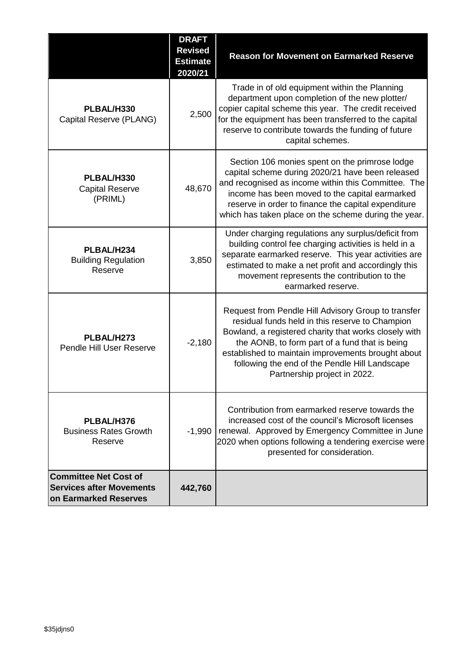|                                                                                          | <b>DRAFT</b><br><b>Revised</b><br><b>Estimate</b><br>2020/21 | <b>Reason for Movement on Earmarked Reserve</b>                                                                                                                                                                                                                                                                                                           |
|------------------------------------------------------------------------------------------|--------------------------------------------------------------|-----------------------------------------------------------------------------------------------------------------------------------------------------------------------------------------------------------------------------------------------------------------------------------------------------------------------------------------------------------|
| PLBAL/H330<br>Capital Reserve (PLANG)                                                    | 2,500                                                        | Trade in of old equipment within the Planning<br>department upon completion of the new plotter/<br>copier capital scheme this year. The credit received<br>for the equipment has been transferred to the capital<br>reserve to contribute towards the funding of future<br>capital schemes.                                                               |
| PLBAL/H330<br><b>Capital Reserve</b><br>(PRIML)                                          | 48,670                                                       | Section 106 monies spent on the primrose lodge<br>capital scheme during 2020/21 have been released<br>and recognised as income within this Committee. The<br>income has been moved to the capital earmarked<br>reserve in order to finance the capital expenditure<br>which has taken place on the scheme during the year.                                |
| PLBAL/H234<br><b>Building Regulation</b><br>Reserve                                      | 3,850                                                        | Under charging regulations any surplus/deficit from<br>building control fee charging activities is held in a<br>separate earmarked reserve. This year activities are<br>estimated to make a net profit and accordingly this<br>movement represents the contribution to the<br>earmarked reserve.                                                          |
| PLBAL/H273<br>Pendle Hill User Reserve                                                   | $-2,180$                                                     | Request from Pendle Hill Advisory Group to transfer<br>residual funds held in this reserve to Champion<br>Bowland, a registered charity that works closely with<br>the AONB, to form part of a fund that is being<br>established to maintain improvements brought about<br>following the end of the Pendle Hill Landscape<br>Partnership project in 2022. |
| PLBAL/H376<br><b>Business Rates Growth</b><br>Reserve                                    | $-1,990$                                                     | Contribution from earmarked reserve towards the<br>increased cost of the council's Microsoft licenses<br>renewal. Approved by Emergency Committee in June<br>2020 when options following a tendering exercise were<br>presented for consideration.                                                                                                        |
| <b>Committee Net Cost of</b><br><b>Services after Movements</b><br>on Earmarked Reserves | 442,760                                                      |                                                                                                                                                                                                                                                                                                                                                           |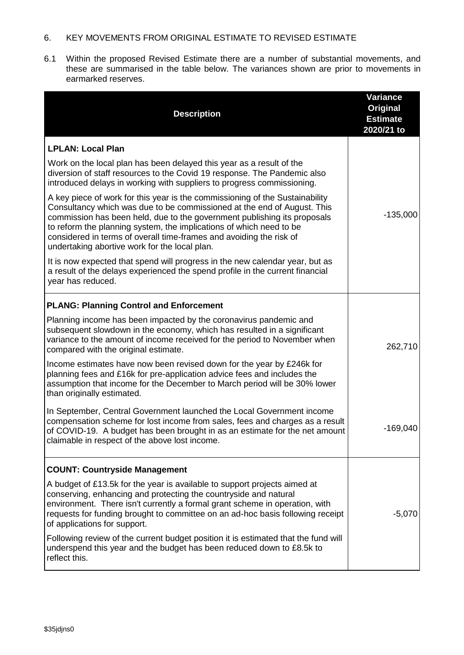#### 6. KEY MOVEMENTS FROM ORIGINAL ESTIMATE TO REVISED ESTIMATE

6.1 Within the proposed Revised Estimate there are a number of substantial movements, and these are summarised in the table below. The variances shown are prior to movements in earmarked reserves.

| <b>Description</b>                                                                                                                                                                                                                                                                                                                                                                                                                 | <b>Variance</b><br>Original<br><b>Estimate</b><br>2020/21 to |
|------------------------------------------------------------------------------------------------------------------------------------------------------------------------------------------------------------------------------------------------------------------------------------------------------------------------------------------------------------------------------------------------------------------------------------|--------------------------------------------------------------|
| <b>LPLAN: Local Plan</b>                                                                                                                                                                                                                                                                                                                                                                                                           |                                                              |
| Work on the local plan has been delayed this year as a result of the<br>diversion of staff resources to the Covid 19 response. The Pandemic also<br>introduced delays in working with suppliers to progress commissioning.                                                                                                                                                                                                         |                                                              |
| A key piece of work for this year is the commissioning of the Sustainability<br>Consultancy which was due to be commissioned at the end of August. This<br>commission has been held, due to the government publishing its proposals<br>to reform the planning system, the implications of which need to be<br>considered in terms of overall time-frames and avoiding the risk of<br>undertaking abortive work for the local plan. | $-135,000$                                                   |
| It is now expected that spend will progress in the new calendar year, but as<br>a result of the delays experienced the spend profile in the current financial<br>year has reduced.                                                                                                                                                                                                                                                 |                                                              |
| <b>PLANG: Planning Control and Enforcement</b>                                                                                                                                                                                                                                                                                                                                                                                     |                                                              |
| Planning income has been impacted by the coronavirus pandemic and<br>subsequent slowdown in the economy, which has resulted in a significant<br>variance to the amount of income received for the period to November when<br>compared with the original estimate.                                                                                                                                                                  | 262,710                                                      |
| Income estimates have now been revised down for the year by £246k for<br>planning fees and £16k for pre-application advice fees and includes the<br>assumption that income for the December to March period will be 30% lower<br>than originally estimated.                                                                                                                                                                        |                                                              |
| In September, Central Government launched the Local Government income<br>compensation scheme for lost income from sales, fees and charges as a result<br>of COVID-19. A budget has been brought in as an estimate for the net amount<br>claimable in respect of the above lost income.                                                                                                                                             | $-169,040$                                                   |
| <b>COUNT: Countryside Management</b>                                                                                                                                                                                                                                                                                                                                                                                               |                                                              |
| A budget of £13.5k for the year is available to support projects aimed at<br>conserving, enhancing and protecting the countryside and natural<br>environment. There isn't currently a formal grant scheme in operation, with<br>requests for funding brought to committee on an ad-hoc basis following receipt<br>of applications for support.                                                                                     | $-5,070$                                                     |
| Following review of the current budget position it is estimated that the fund will<br>underspend this year and the budget has been reduced down to £8.5k to<br>reflect this.                                                                                                                                                                                                                                                       |                                                              |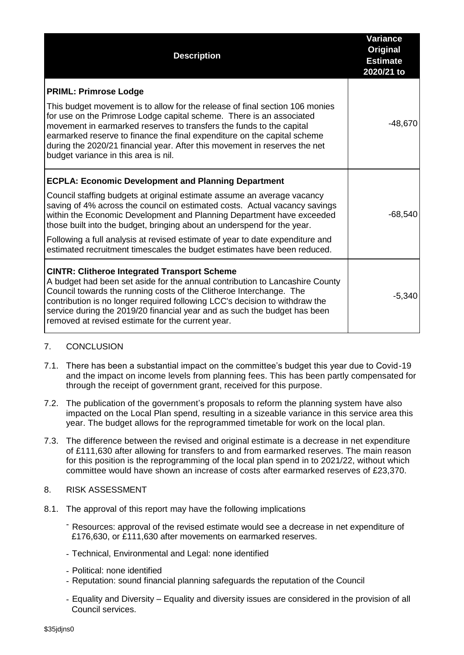| <b>Description</b>                                                                                                                                                                                                                                                                                                                                                                                                                                                                                                                   | <b>Variance</b><br><b>Original</b><br><b>Estimate</b><br>2020/21 to |
|--------------------------------------------------------------------------------------------------------------------------------------------------------------------------------------------------------------------------------------------------------------------------------------------------------------------------------------------------------------------------------------------------------------------------------------------------------------------------------------------------------------------------------------|---------------------------------------------------------------------|
| <b>PRIML: Primrose Lodge</b><br>This budget movement is to allow for the release of final section 106 monies<br>for use on the Primrose Lodge capital scheme. There is an associated<br>movement in earmarked reserves to transfers the funds to the capital<br>earmarked reserve to finance the final expenditure on the capital scheme<br>during the 2020/21 financial year. After this movement in reserves the net<br>budget variance in this area is nil.                                                                       | $-48,670$                                                           |
| <b>ECPLA: Economic Development and Planning Department</b><br>Council staffing budgets at original estimate assume an average vacancy<br>saving of 4% across the council on estimated costs. Actual vacancy savings<br>within the Economic Development and Planning Department have exceeded<br>those built into the budget, bringing about an underspend for the year.<br>Following a full analysis at revised estimate of year to date expenditure and<br>estimated recruitment timescales the budget estimates have been reduced. | $-68,540$                                                           |
| <b>CINTR: Clitheroe Integrated Transport Scheme</b><br>A budget had been set aside for the annual contribution to Lancashire County<br>Council towards the running costs of the Clitheroe Interchange. The<br>contribution is no longer required following LCC's decision to withdraw the<br>service during the 2019/20 financial year and as such the budget has been<br>removed at revised estimate for the current year.                                                                                                          | $-5,340$                                                            |

## 7. CONCLUSION

- 7.1. There has been a substantial impact on the committee's budget this year due to Covid-19 and the impact on income levels from planning fees. This has been partly compensated for through the receipt of government grant, received for this purpose.
- 7.2. The publication of the government's proposals to reform the planning system have also impacted on the Local Plan spend, resulting in a sizeable variance in this service area this year. The budget allows for the reprogrammed timetable for work on the local plan.
- 7.3. The difference between the revised and original estimate is a decrease in net expenditure of £111,630 after allowing for transfers to and from earmarked reserves. The main reason for this position is the reprogramming of the local plan spend in to 2021/22, without which committee would have shown an increase of costs after earmarked reserves of £23,370.
- 8. RISK ASSESSMENT
- 8.1. The approval of this report may have the following implications
	- Resources: approval of the revised estimate would see a decrease in net expenditure of £176,630, or £111,630 after movements on earmarked reserves.
	- Technical, Environmental and Legal: none identified
	- Political: none identified
	- Reputation: sound financial planning safeguards the reputation of the Council
	- Equality and Diversity Equality and diversity issues are considered in the provision of all Council services.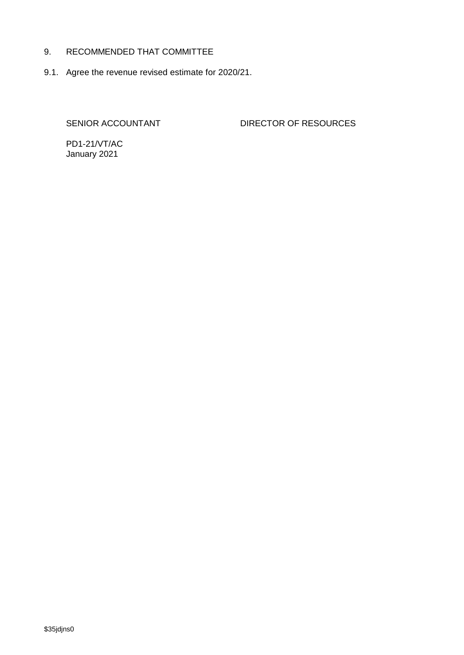#### 9. RECOMMENDED THAT COMMITTEE

9.1. Agree the revenue revised estimate for 2020/21.

SENIOR ACCOUNTANT DIRECTOR OF RESOURCES

PD1-21/VT/AC January 2021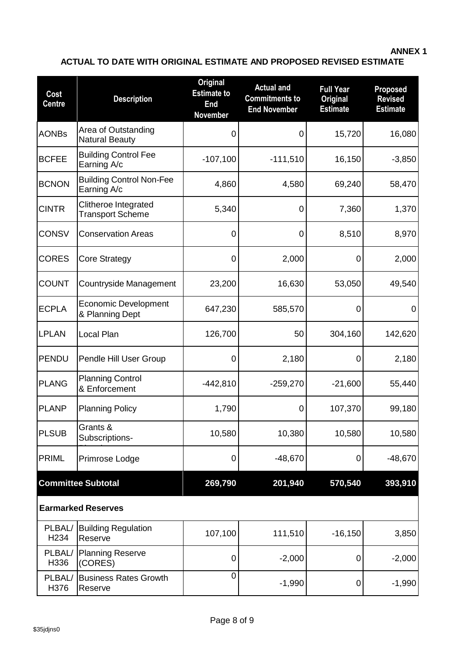### **ANNEX 1**

# **ACTUAL TO DATE WITH ORIGINAL ESTIMATE AND PROPOSED REVISED ESTIMATE**

| Cost<br><b>Centre</b>      | <b>Description</b>                              | <b>Original</b><br><b>Estimate to</b><br>End<br>November | <b>Actual and</b><br><b>Commitments to</b><br><b>End November</b> | <b>Full Year</b><br><b>Original</b><br><b>Estimate</b> | <b>Proposed</b><br><b>Revised</b><br><b>Estimate</b> |
|----------------------------|-------------------------------------------------|----------------------------------------------------------|-------------------------------------------------------------------|--------------------------------------------------------|------------------------------------------------------|
| <b>AONBs</b>               | Area of Outstanding<br><b>Natural Beauty</b>    | 0                                                        | 0                                                                 | 15,720                                                 | 16,080                                               |
| <b>BCFEE</b>               | <b>Building Control Fee</b><br>Earning A/c      | $-107,100$                                               | $-111,510$                                                        | 16,150                                                 | $-3,850$                                             |
| <b>BCNON</b>               | <b>Building Control Non-Fee</b><br>Earning A/c  | 4,860                                                    | 4,580                                                             | 69,240                                                 | 58,470                                               |
| <b>CINTR</b>               | Clitheroe Integrated<br><b>Transport Scheme</b> | 5,340                                                    | 0                                                                 | 7,360                                                  | 1,370                                                |
| <b>CONSV</b>               | <b>Conservation Areas</b>                       | 0                                                        | 0                                                                 | 8,510                                                  | 8,970                                                |
| <b>CORES</b>               | <b>Core Strategy</b>                            | 0                                                        | 2,000                                                             | 0                                                      | 2,000                                                |
| <b>COUNT</b>               | Countryside Management                          | 23,200                                                   | 16,630                                                            | 53,050                                                 | 49,540                                               |
| <b>ECPLA</b>               | <b>Economic Development</b><br>& Planning Dept  | 647,230                                                  | 585,570                                                           | 0                                                      | 0                                                    |
| <b>LPLAN</b>               | Local Plan                                      | 126,700                                                  | 50                                                                | 304,160                                                | 142,620                                              |
| <b>PENDU</b>               | Pendle Hill User Group                          | 0                                                        | 2,180                                                             | 0                                                      | 2,180                                                |
| <b>PLANG</b>               | <b>Planning Control</b><br>& Enforcement        | $-442,810$                                               | $-259,270$                                                        | $-21,600$                                              | 55,440                                               |
| <b>PLANP</b>               | <b>Planning Policy</b>                          | 1,790                                                    | 0                                                                 | 107,370                                                | 99,180                                               |
| <b>PLSUB</b>               | Grants &<br>Subscriptions-                      | 10,580                                                   | 10,380                                                            | 10,580                                                 | 10,580                                               |
| <b>PRIML</b>               | Primrose Lodge                                  | 0                                                        | $-48,670$                                                         | 0                                                      | $-48,670$                                            |
|                            | <b>Committee Subtotal</b>                       | 269,790                                                  | 201,940                                                           | 570,540                                                | 393,910                                              |
|                            | <b>Earmarked Reserves</b>                       |                                                          |                                                                   |                                                        |                                                      |
| PLBAL/<br>H <sub>234</sub> | <b>Building Regulation</b><br>Reserve           | 107,100                                                  | 111,510                                                           | $-16, 150$                                             | 3,850                                                |
| PLBAL/<br>H336             | <b>Planning Reserve</b><br>(CORES)              | $\mathbf 0$                                              | $-2,000$                                                          | 0                                                      | $-2,000$                                             |
| PLBAL/<br>H376             | <b>Business Rates Growth</b><br>Reserve         | 0                                                        | $-1,990$                                                          | 0                                                      | $-1,990$                                             |